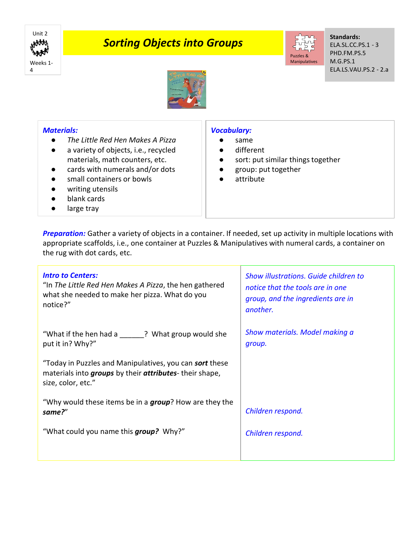

## *Sorting Objects into Groups*



**Standards:** ELA.SL.CC.PS.1 - 3 PHD.FM.PS.5 M.G.PS.1 ELA.LS.VAU.PS.2 - 2.a



## *Materials:*

- *The Little Red Hen Makes A Pizza*
- a variety of objects, i.e., recycled materials, math counters, etc.
- cards with numerals and/or dots
- small containers or bowls
- writing utensils
- blank cards
- large tray

## *Vocabulary:*

- same
- different
- sort: put similar things together
- group: put together
- attribute

*Preparation:* Gather a variety of objects in a container. If needed, set up activity in multiple locations with appropriate scaffolds, i.e., one container at Puzzles & Manipulatives with numeral cards, a container on the rug with dot cards, etc.

| <b>Intro to Centers:</b><br>"In The Little Red Hen Makes A Pizza, the hen gathered<br>what she needed to make her pizza. What do you<br>notice?" | Show illustrations. Guide children to<br>notice that the tools are in one<br>group, and the ingredients are in<br>another. |
|--------------------------------------------------------------------------------------------------------------------------------------------------|----------------------------------------------------------------------------------------------------------------------------|
| "What if the hen had a<br>? What group would she<br>put it in? Why?"                                                                             | Show materials. Model making a<br>group.                                                                                   |
| "Today in Puzzles and Manipulatives, you can <b>sort</b> these<br>materials into groups by their attributes-their shape,<br>size, color, etc."   |                                                                                                                            |
| "Why would these items be in a <i>group</i> ? How are they the<br>same?"                                                                         | Children respond.                                                                                                          |
| "What could you name this <i>group</i> ? Why?"                                                                                                   | Children respond.                                                                                                          |
|                                                                                                                                                  |                                                                                                                            |